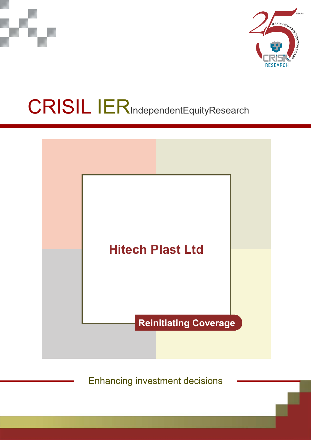



# CRISIL IERIndependentEquityResearch

| <b>Hitech Plast Ltd</b>      |
|------------------------------|
| <b>Reinitiating Coverage</b> |

Enhancing investment decisions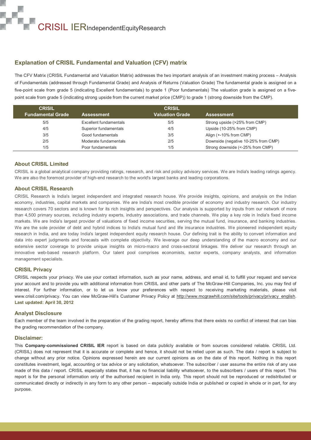## **Explanation of CRISIL Fundamental and Valuation (CFV) matrix**

The CFV Matrix (CRISIL Fundamental and Valuation Matrix) addresses the two important analysis of an investment making process – Analysis of Fundamentals (addressed through Fundamental Grade) and Analysis of Returns (Valuation Grade) The fundamental grade is assigned on a five-point scale from grade 5 (indicating Excellent fundamentals) to grade 1 (Poor fundamentals) The valuation grade is assigned on a fivepoint scale from grade 5 (indicating strong upside from the current market price (CMP)) to grade 1 (strong downside from the CMP).

| <b>CRISIL</b>            |                        | <b>CRISIL</b>          |                                     |
|--------------------------|------------------------|------------------------|-------------------------------------|
| <b>Fundamental Grade</b> | <b>Assessment</b>      | <b>Valuation Grade</b> | <b>Assessment</b>                   |
| 5/5                      | Excellent fundamentals | 5/5                    | Strong upside (>25% from CMP)       |
| 4/5                      | Superior fundamentals  | 4/5                    | Upside (10-25% from CMP)            |
| 3/5                      | Good fundamentals      | 3/5                    | Align (+-10% from CMP)              |
| 2/5                      | Moderate fundamentals  | 2/5                    | Downside (negative 10-25% from CMP) |
| 1/5                      | Poor fundamentals      | 1/5                    | Strong downside (<-25% from CMP)    |

## **About CRISIL Limited**

CRISIL is a global analytical company providing ratings, research, and risk and policy advisory services. We are India's leading ratings agency. We are also the foremost provider of high-end research to the world's largest banks and leading corporations.

## **About CRISIL Research**

CRISIL Research is India's largest independent and integrated research house. We provide insights, opinions, and analysis on the Indian economy, industries, capital markets and companies. We are India's most credible provider of economy and industry research. Our industry research covers 70 sectors and is known for its rich insights and perspectives. Our analysis is supported by inputs from our network of more than 4,500 primary sources, including industry experts, industry associations, and trade channels. We play a key role in India's fixed income markets. We are India's largest provider of valuations of fixed income securities, serving the mutual fund, insurance, and banking industries. We are the sole provider of debt and hybrid indices to India's mutual fund and life insurance industries. We pioneered independent equity research in India, and are today India's largest independent equity research house. Our defining trait is the ability to convert information and data into expert judgments and forecasts with complete objectivity. We leverage our deep understanding of the macro economy and our extensive sector coverage to provide unique insights on micro-macro and cross-sectoral linkages. We deliver our research through an innovative web-based research platform. Our talent pool comprises economists, sector experts, company analysts, and information management specialists.

## **CRISIL Privacy**

CRISIL respects your privacy. We use your contact information, such as your name, address, and email id, to fulfill your request and service your account and to provide you with additional information from CRISIL and other parts of The McGraw-Hill Companies, Inc. you may find of interest. For further information, or to let us know your preferences with respect to receiving marketing materials, please visit www.crisil.com/privacy. You can view McGraw-Hill's Customer Privacy Policy at http://www.mcgrawhill.com/site/tools/privacy/privacy\_english. **Last updated: April 30, 2012** 

## **Analyst Disclosure**

Each member of the team involved in the preparation of the grading report, hereby affirms that there exists no conflict of interest that can bias the grading recommendation of the company.

## **Disclaimer:**

This **Company-commissioned CRISIL IER** report is based on data publicly available or from sources considered reliable. CRISIL Ltd. (CRISIL) does not represent that it is accurate or complete and hence, it should not be relied upon as such. The data / report is subject to change without any prior notice. Opinions expressed herein are our current opinions as on the date of this report. Nothing in this report constitutes investment, legal, accounting or tax advice or any solicitation, whatsoever. The subscriber / user assume the entire risk of any use made of this data / report. CRISIL especially states that, it has no financial liability whatsoever, to the subscribers / users of this report. This report is for the personal information only of the authorised recipient in India only. This report should not be reproduced or redistributed or communicated directly or indirectly in any form to any other person – especially outside India or published or copied in whole or in part, for any purpose.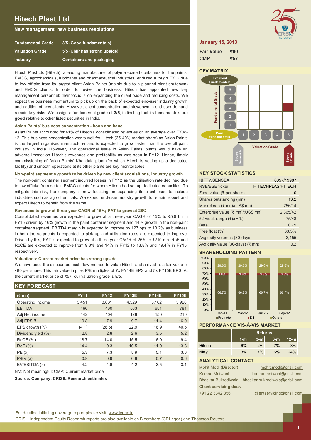## **Hitech Plast Ltd**

## **New management, new business resolutions**

| <b>Fundamental Grade</b> | 3/5 (Good fundamentals)         |
|--------------------------|---------------------------------|
| <b>Valuation Grade</b>   | 5/5 (CMP has strong upside)     |
| <b>Industry</b>          | <b>Containers and packaging</b> |

Hitech Plast Ltd (Hitech), a leading manufacturer of polymer-based containers for the paints, FMCG, agrochemicals, lubricants and pharmaceutical industries, endured a tough FY12 due to low offtake from its largest client Asian Paints (mainly due to a planned plant shutdown) and FMCG clients. In order to revive the business, Hitech has appointed new key management personnel; their focus is on expanding the client base and reducing costs. We expect the business momentum to pick up on the back of expected end-user industry growth and addition of new clients. However, client concentration and slowdown in end-user demand remain key risks. We assign a fundamental grade of **3/5**, indicating that its fundamentals are **good** relative to other listed securities in India.

## **Asian Paints' business concentration - boon and bane**

Asian Paints accounted for 41% of Hitech's consolidated revenues on an average over FY08- 12. This business concentration works well for Hitech (35-40% market share) as Asian Paints is the largest organised manufacturer and is expected to grow faster than the overall paint industry in India. However, any operational issue in Asian Paints' plants would have an adverse impact on Hitech's revenues and profitability as was seen in FY12. Hence, timely commissioning of Asian Paints' Khandala plant (for which Hitech is setting up a dedicated facility) and smooth operations at its other plants are key monitorables.

## **Non-paint segment's growth to be driven by new client acquisitions, industry growth**

The non-paint container segment incurred losses in FY12 as the utilisation rate declined due to low offtake from certain FMCG clients for whom Hitech had set up dedicated capacities. To mitigate this risk, the company is now focusing on expanding its client base to include industries such as agrochemicals. We expect end-user industry growth to remain robust and expect Hitech to benefit from the same.

## **Revenues to grow at three-year CAGR of 15%; PAT to grow at 26%**

Consolidated revenues are expected to grow at a three-year CAGR of 15% to ₹5.9 bn in FY15 driven by 16% growth in the paint container segment and 14% growth in the non-paint container segment. EBITDA margin is expected to improve by 127 bps to 13.2% as business in both the segments is expected to pick up and utilisation rates are expected to improve. Driven by this, PAT is expected to grow at a three-year CAGR of 26% to ₹210 mn. RoE and RoCE are expected to improve from 9.3% and 14% in FY12 to 13.8% and 19.4% in FY15, respectively.

### **Valuations: Current market price has strong upside**

We have used the discounted cash flow method to value Hitech and arrived at a fair value of ₹80 per share. This fair value implies P/E multiples of 7x FY14E EPS and 5x FY15E EPS. At the current market price of ₹57, our valuation grade is **5/5**.

| <b>KEY FORECAST</b> |             |             |              |              |              |
|---------------------|-------------|-------------|--------------|--------------|--------------|
| ∣ (₹ mn)            | <b>FY11</b> | <b>FY12</b> | <b>FY13E</b> | <b>FY14E</b> | <b>FY15E</b> |
| Operating income    | 3,451       | 3,861       | 4,529        | 5,102        | 5,920        |
| <b>EBITDA</b>       | 466         | 460         | 563          | 651          | 781          |
| Adj Net income      | 142         | 104         | 128          | 150          | 210          |
| Adj EPS-₹           | 10.8        | 7.9         | 9.7          | 11.4         | 16.0         |
| EPS growth $(\% )$  | (4.1)       | (26.5)      | 22.9         | 16.9         | 40.5         |
| Dividend yield (%)  | 2.8         | 2.8         | 2.6          | 3.5          | 5.2          |
| ROCE(%)             | 18.7        | 14.0        | 15.5         | 16.9         | 19.4         |
| RoE (%)             | 14.4        | 9.3         | 10.5         | 11.0         | 13.8         |
| PE(x)               | 5.3         | 7.3         | 5.9          | 5.1          | 3.6          |
| P/BV(x)             | 0.9         | 0.9         | 0.8          | 0.7          | 0.6          |
| EV/EBITDA (x)       | 4.2         | 4.6         | 4.2          | 3.5          | 3.1          |

NM: Not meaningful; CMP: Current market price

**Source: Company, CRISIL Research estimates** 

#### **<sup>M</sup>AKIN<sup>G</sup> <sup>M</sup>ARKET<sup>S</sup> FUNTON BETTER** *YEARS*

## **January 15, 2013**

| <b>Fair Value</b> | ₹80 |
|-------------------|-----|
| <b>CMP</b>        | ₹57 |

## **CFV MATRIX**



## **KEY STOCK STATISTICS**

| NIFTY/SENSEX                                     | 6057/19987 |                          |
|--------------------------------------------------|------------|--------------------------|
| <b>NSE/BSE ticker</b>                            |            | <b>HITECHPLAS/HITECH</b> |
| Face value ( $\bar{\tau}$ per share)             |            | 10                       |
| Shares outstanding (mn)                          |            | 13.2                     |
| Market cap $(\xi \text{mn})/(US\$ mn)            |            | 756/14                   |
| Enterprise value (₹ mn)/(US\$ mn)                | 2,365/42   |                          |
| 52-week range (₹)/(H/L)                          | 75/48      |                          |
| <b>Beta</b>                                      | 0.79       |                          |
| Free float (%)                                   | 33.3%      |                          |
| Avg daily volumes (30-days)                      | 3,455      |                          |
| Avg daily value (30-days) ( $\overline{\xi}$ mn) |            | 02                       |

## **SHAREHOLDING PATTERN**



## **PERFORMANCE VIS-À-VIS MARKET**

|        | <b>Returns</b>                    |    |       |       |  |
|--------|-----------------------------------|----|-------|-------|--|
|        | $12-m$<br>$3-m$<br>$6-m$<br>$1-m$ |    |       |       |  |
| Hitech | 6%                                | 2% | $-7%$ | $-3%$ |  |
| Nifty  | 3%                                | 7% | 16%   | 24%   |  |

## **ANALYTICAL CONTACT**

| Mohit Modi (Director)        | mohit.modi@crisil.com          |
|------------------------------|--------------------------------|
| Kamna Motwani                | kamna.motwani@crisil.com       |
| Bhaskar Bukrediwala          | bhaskar.bukrediwala@crisil.com |
| <b>Client servicing desk</b> |                                |
| +91 22 3342 3561             | clientservicing@crisil.com     |
|                              |                                |

For detailed initiating coverage report please visit: www.ier.co.in

CRISIL Independent Equity Research reports are also available on Bloomberg (CRI <go>) and Thomson Reuters.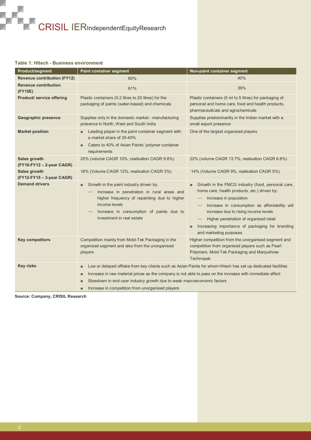**CRISIL IERIndependentEquityResearch**<br> **CRISIL IERIndependentEquityResearch** 

## **Table 1: Hitech - Business environment**

| Product/segment                           | <b>Paint container segment</b><br>Non-paint container segment                                                                                                                                                                                                                                                                                               |                                                                                                                                                                                                                                                                                                                                                  |  |
|-------------------------------------------|-------------------------------------------------------------------------------------------------------------------------------------------------------------------------------------------------------------------------------------------------------------------------------------------------------------------------------------------------------------|--------------------------------------------------------------------------------------------------------------------------------------------------------------------------------------------------------------------------------------------------------------------------------------------------------------------------------------------------|--|
| <b>Revenue contribution (FY12)</b>        | 60%                                                                                                                                                                                                                                                                                                                                                         | 40%                                                                                                                                                                                                                                                                                                                                              |  |
| <b>Revenue contribution</b><br>(FY15E)    | 61%                                                                                                                                                                                                                                                                                                                                                         | 39%                                                                                                                                                                                                                                                                                                                                              |  |
| Product/ service offering                 | Plastic containers (0.2 litres to 20 litres) for the<br>packaging of paints (water-based) and chemicals                                                                                                                                                                                                                                                     | Plastic containers (5 ml to 5 litres) for packaging of<br>personal and home care, food and health products,<br>pharmaceuticals and agrochemicals                                                                                                                                                                                                 |  |
| <b>Geographic presence</b>                | Supplies only in the domestic market - manufacturing<br>presence in North, West and South India                                                                                                                                                                                                                                                             | Supplies predominantly in the Indian market with a<br>small export presence                                                                                                                                                                                                                                                                      |  |
| <b>Market position</b>                    | One of the largest organised players<br>Leading player in the paint container segment with<br>a market share of 35-40%<br>Caters to 40% of Asian Paints' polymer container<br>requirements                                                                                                                                                                  |                                                                                                                                                                                                                                                                                                                                                  |  |
| Sales growth<br>(FY10-FY12 - 2-year CAGR) | 20% (volume CAGR 10%, realisation CAGR 9.6%)                                                                                                                                                                                                                                                                                                                | 22% (volume CAGR 13.7%, realisation CAGR 6.8%)                                                                                                                                                                                                                                                                                                   |  |
| Sales growth<br>(FY12-FY15 - 3-year CAGR) | 16% (Volume CAGR 12%, realisation CAGR 3%)                                                                                                                                                                                                                                                                                                                  | 14% (Volume CAGR 9%, realisation CAGR 5%)                                                                                                                                                                                                                                                                                                        |  |
| <b>Demand drivers</b>                     | Growth in the paint industry driven by:<br>п<br>Increase in penetration in rural areas and<br>higher frequency of repainting due to higher<br>income levels<br>Increase in consumption of paints due to<br>investment in real estate                                                                                                                        | Growth in the FMCG industry (food, personal care,<br>home care, health products, etc.) driven by:<br>Increase in population<br>Increase in consumption as affordability will<br>increase due to rising income levels<br>Higher penetration of organised retail<br>Increasing importance of packaging for branding<br>п<br>and marketing purposes |  |
| <b>Key competitors</b>                    | Competition mainly from Mold-Tek Packaging in the<br>organised segment and also from the unorganised<br>players                                                                                                                                                                                                                                             | Higher competition from the unorganised segment and<br>competition from organised players such as Pearl<br>Polymers, Mold-Tek Packaging and Manjushree<br>Technopak                                                                                                                                                                              |  |
| <b>Key risks</b>                          | Low or delayed offtake from key clients such as Asian Paints for whom Hitech has set up dedicated facilities<br>П<br>Increase in raw material prices as the company is not able to pass on the increase with immediate effect<br>Slowdown in end-user industry growth due to weak macroeconomic factors<br>Increase in competition from unorganised players |                                                                                                                                                                                                                                                                                                                                                  |  |

**Source: Company, CRISIL Research**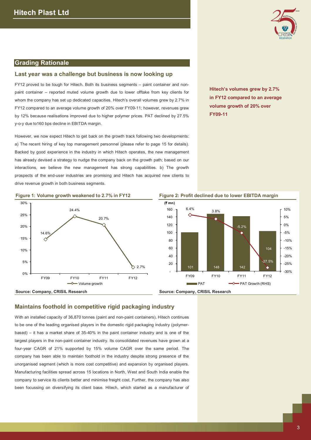

## **Grading Rationale**

## **Last year was a challenge but business is now looking up**

FY12 proved to be tough for Hitech. Both its business segments – paint container and nonpaint container – reported muted volume growth due to lower offtake from key clients for whom the company has set up dedicated capacities. Hitech's overall volumes grew by 2.7% in FY12 compared to an average volume growth of 20% over FY09-11; however, revenues grew by 12% because realisations improved due to higher polymer prices. PAT declined by 27.5% y-o-y due to160 bps decline in EBITDA margin.

However, we now expect Hitech to get back on the growth track following two developments: a) The recent hiring of key top management personnel (please refer to page 15 for details). Backed by good experience in the industry in which Hitech operates, the new management has already devised a strategy to nudge the company back on the growth path; based on our interactions, we believe the new management has strong capabilities. b) The growth prospects of the end-user industries are promising and Hitech has acquired new clients to drive revenue growth in both business segments.

20.7%

2.7%

**Hitech's volumes grew by 2.7% in FY12 compared to an average volume growth of 20% over FY09-11** 



14.6

 $0%$ 

5%

10%

15%

20%

25%

30%

24.4%

## **Maintains foothold in competitive rigid packaging industry**

FY09 FY10 FY11 FY12 →→ Volume growth

With an installed capacity of 36,870 tonnes (paint and non-paint containers), Hitech continues to be one of the leading organised players in the domestic rigid packaging industry (polymerbased) – it has a market share of 35-40% in the paint container industry and is one of the largest players in the non-paint container industry. Its consolidated revenues have grown at a four-year CAGR of 21% supported by 15% volume CAGR over the same period. The company has been able to maintain foothold in the industry despite strong presence of the unorganised segment (which is more cost competitive) and expansion by organised players. Manufacturing facilities spread across 15 locations in North, West and South India enable the company to service its clients better and minimise freight cost. Further, the company has also been focussing on diversifying its client base. Hitech, which started as a manufacturer of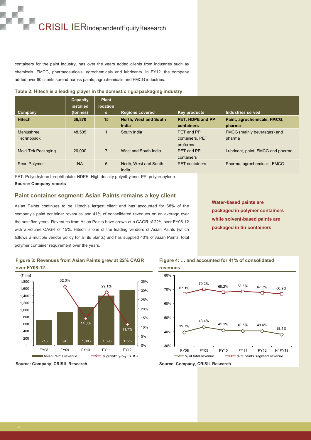## CRISIL IERIndependentEquityResearch

containers for the paint industry, has over the years added clients from industries such as chemicals, FMCG, pharmaceuticals, agrochemicals and lubricants. In FY12, the company added over 60 clients spread across paints, agrochemicals and FMCG industries.

| <b>Company</b>           | <b>Capacity</b><br>installed<br>(tonnes) | Plant<br><b>location</b><br>s | <b>Regions covered</b>                | Key products                              | Industries served                     |
|--------------------------|------------------------------------------|-------------------------------|---------------------------------------|-------------------------------------------|---------------------------------------|
| <b>Hitech</b>            | 36,870                                   | 15                            | <b>North. West and South</b><br>India | PET. HDPE and PP<br>containers            | Paint, agrochemicals, FMCG,<br>pharma |
| Manjushree<br>Technopack | 48.505                                   |                               | South India                           | PET and PP<br>containers, PET<br>preforms | FMCG (mainly beverages) and<br>pharma |
| Mold-Tek Packaging       | 20,000                                   | $\overline{7}$                | West and South India                  | PFT and PP<br>containers                  | Lubricant, paint, FMCG and pharma     |
| Pearl Polymer            | <b>NA</b>                                | 5                             | North, West and South<br>India        | <b>PET</b> containers                     | Pharma, agrochemicals, FMCG           |

## **Table 2: Hitech is a leading player in the domestic rigid packaging industry**

PET: Polyethylene terephthalate, HDPE: High density polyethylene, PP: polypropylene **Source: Company reports** 

## **Paint container segment: Asian Paints remains a key client**

Asian Paints continues to be Hitech's largest client and has accounted for 68% of the company's paint container revenues and 41% of consolidated revenues on an average over the past five years. Revenues from Asian Paints have grown at a CAGR of 22% over FY08-12 with a volume CAGR of 15%. Hitech is one of the leading vendors of Asian Paints (which follows a multiple vendor policy for all its plants) and has supplied 40% of Asian Paints' total polymer container requirement over the years.

## **Figure 3: Revenues from Asian Paints grew at 22% CAGR over FY08-12…**





**Water-based paints are** 

**packaged in polymer containers** 



## **Figure 4: … and accounted for 41% of consolidated**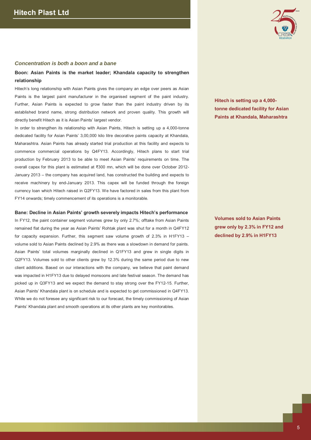

## *Concentration is both a boon and a bane*

## **Boon: Asian Paints is the market leader; Khandala capacity to strengthen relationship**

Hitech's long relationship with Asian Paints gives the company an edge over peers as Asian Paints is the largest paint manufacturer in the organised segment of the paint industry. Further, Asian Paints is expected to grow faster than the paint industry driven by its established brand name, strong distribution network and proven quality. This growth will directly benefit Hitech as it is Asian Paints' largest vendor.

In order to strengthen its relationship with Asian Paints, Hitech is setting up a 4,000-tonne dedicated facility for Asian Paints' 3,00,000 kilo litre decorative paints capacity at Khandala, Maharashtra. Asian Paints has already started trial production at this facility and expects to commence commercial operations by Q4FY13. Accordingly, Hitech plans to start trial production by February 2013 to be able to meet Asian Paints' requirements on time. The overall capex for this plant is estimated at ₹300 mn, which will be done over October 2012- January 2013 – the company has acquired land, has constructed the building and expects to receive machinery by end-January 2013. This capex will be funded through the foreign currency loan which Hitech raised in Q2FY13. We have factored in sales from this plant from FY14 onwards; timely commencement of its operations is a monitorable.

## **Bane: Decline in Asian Paints' growth severely impacts Hitech's performance**

In FY12, the paint container segment volumes grew by only 2.7%; offtake from Asian Paints remained flat during the year as Asian Paints' Rohtak plant was shut for a month in Q4FY12 for capacity expansion. Further, this segment saw volume growth of 2.3% in H1FY13 – volume sold to Asian Paints declined by 2.9% as there was a slowdown in demand for paints. Asian Paints' total volumes marginally declined in Q1FY13 and grew in single digits in Q2FY13. Volumes sold to other clients grew by 12.3% during the same period due to new client additions. Based on our interactions with the company, we believe that paint demand was impacted in H1FY13 due to delayed monsoons and late festival season. The demand has picked up in Q3FY13 and we expect the demand to stay strong over the FY12-15. Further, Asian Paints' Khandala plant is on schedule and is expected to get commissioned in Q4FY13. While we do not foresee any significant risk to our forecast, the timely commissioning of Asian Paints' Khandala plant and smooth operations at its other plants are key monitorables.

**Hitech is setting up a 4,000 tonne dedicated facility for Asian Paints at Khandala, Maharashtra** 

**Volumes sold to Asian Paints grew only by 2.3% in FY12 and declined by 2.9% in H1FY13**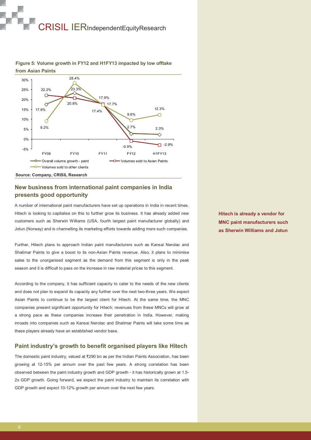



## **Figure 5: Volume growth in FY12 and H1FY13 impacted by low offtake from Asian Paints**

## **New business from international paint companies in India presents good opportunity**

A number of international paint manufacturers have set up operations in India in recent times. Hitech is looking to capitalise on this to further grow its business. It has already added new customers such as Sherwin Williams (USA, fourth largest paint manufacturer globally) and Jotun (Norway) and is channelling its marketing efforts towards adding more such companies.

Further, Hitech plans to approach Indian paint manufacturers such as Kansai Nerolac and Shalimar Paints to give a boost to its non-Asian Paints revenue. Also, it plans to minimise sales to the unorganised segment as the demand from this segment is only in the peak season and it is difficult to pass on the increase in raw material prices to this segment.

According to the company, it has sufficient capacity to cater to the needs of the new clients and does not plan to expand its capacity any further over the next two-three years. We expect Asian Paints to continue to be the largest client for Hitech. At the same time, the MNC companies present significant opportunity for Hitech; revenues from these MNCs will grow at a strong pace as these companies increase their penetration in India. However, making inroads into companies such as Kansai Nerolac and Shalimar Paints will take some time as these players already have an established vendor base.

## **Paint industry's growth to benefit organised players like Hitech**

The domestic paint industry, valued at ₹290 bn as per the Indian Paints Association, has been growing at 12-15% per annum over the past few years. A strong correlation has been observed between the paint industry growth and GDP growth - it has historically grown at 1.5- 2x GDP growth. Going forward, we expect the paint industry to maintain its correlation with GDP growth and expect 10-12% growth per annum over the next few years.

**Hitech is already a vendor for MNC paint manufacturers such as Sherwin Williams and Jotun**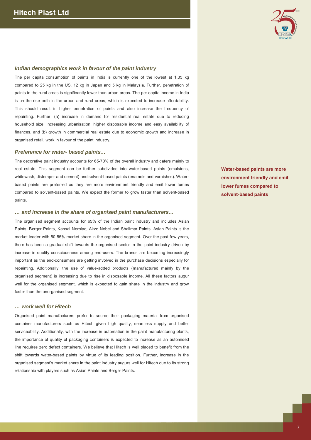

## *Indian demographics work in favour of the paint industry*

The per capita consumption of paints in India is currently one of the lowest at 1.35 kg compared to 25 kg in the US, 12 kg in Japan and 5 kg in Malaysia. Further, penetration of paints in the rural areas is significantly lower than urban areas. The per capita income in India is on the rise both in the urban and rural areas, which is expected to increase affordability. This should result in higher penetration of paints and also increase the frequency of repainting. Further, (a) increase in demand for residential real estate due to reducing household size, increasing urbanisation, higher disposable income and easy availability of finances, and (b) growth in commercial real estate due to economic growth and increase in organised retail, work in favour of the paint industry.

## *Preference for water- based paints…*

The decorative paint industry accounts for 65-70% of the overall industry and caters mainly to real estate. This segment can be further subdivided into water-based paints (emulsions, whitewash, distemper and cement) and solvent-based paints (enamels and varnishes). Waterbased paints are preferred as they are more environment friendly and emit lower fumes compared to solvent-based paints. We expect the former to grow faster than solvent-based paints.

#### *… and increase in the share of organised paint manufacturers…*

The organised segment accounts for 65% of the Indian paint industry and includes Asian Paints, Berger Paints, Kansai Nerolac, Akzo Nobel and Shalimar Paints. Asian Paints is the market leader with 50-55% market share in the organised segment. Over the past few years, there has been a gradual shift towards the organised sector in the paint industry driven by increase in quality consciousness among end-users. The brands are becoming increasingly important as the end-consumers are getting involved in the purchase decisions especially for repainting. Additionally, the use of value-added products (manufactured mainly by the organised segment) is increasing due to rise in disposable income. All these factors augur well for the organised segment, which is expected to gain share in the industry and grow faster than the unorganised segment.

## *… work well for Hitech*

Organised paint manufacturers prefer to source their packaging material from organised container manufacturers such as Hitech given high quality, seamless supply and better serviceability. Additionally, with the increase in automation in the paint manufacturing plants, the importance of quality of packaging containers is expected to increase as an automised line requires zero defect containers. We believe that Hitech is well placed to benefit from the shift towards water-based paints by virtue of its leading position. Further, increase in the organised segment's market share in the paint industry augurs well for Hitech due to its strong relationship with players such as Asian Paints and Berger Paints.

**Water-based paints are more environment friendly and emit lower fumes compared to solvent-based paints**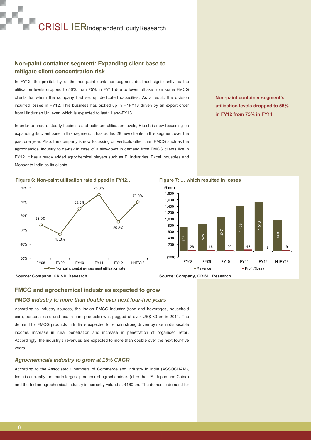

## **Non-paint container segment: Expanding client base to mitigate client concentration risk**

In FY12, the profitability of the non-paint container segment declined significantly as the utilisation levels dropped to 56% from 75% in FY11 due to lower offtake from some FMCG clients for whom the company had set up dedicated capacities. As a result, the division incurred losses in FY12. This business has picked up in H1FY13 driven by an export order from Hindustan Unilever, which is expected to last till end-FY13.

In order to ensure steady business and optimum utilisation levels, Hitech is now focussing on expanding its client base in this segment. It has added 28 new clients in this segment over the past one year. Also, the company is now focussing on verticals other than FMCG such as the agrochemical industry to de-risk in case of a slowdown in demand from FMCG clients like in FY12. It has already added agrochemical players such as PI Industries, Excel Industries and Monsanto India as its clients.

## **Figure 6: Non-paint utilisation rate dipped in FY12… Figure 7: … which resulted in losses**



**Non-paint container segment's utilisation levels dropped to 56% in FY12 from 75% in FY11** 



## **FMCG and agrochemical industries expected to grow**

## *FMCG industry to more than double over next four-five years*

According to industry sources, the Indian FMCG industry (food and beverages, household care, personal care and health care products) was pegged at over US\$ 30 bn in 2011. The demand for FMCG products in India is expected to remain strong driven by rise in disposable income, increase in rural penetration and increase in penetration of organised retail. Accordingly, the industry's revenues are expected to more than double over the next four-five years.

## *Agrochemicals industry to grow at 15% CAGR*

According to the Associated Chambers of Commerce and Industry in India (ASSOCHAM), India is currently the fourth largest producer of agrochemicals (after the US, Japan and China) and the Indian agrochemical industry is currently valued at ₹160 bn. The domestic demand for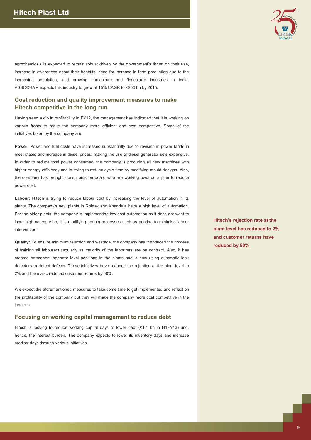

agrochemicals is expected to remain robust driven by the government's thrust on their use, increase in awareness about their benefits, need for increase in farm production due to the increasing population, and growing horticulture and floriculture industries in India. ASSOCHAM expects this industry to grow at 15% CAGR to ₹250 bn by 2015.

## **Cost reduction and quality improvement measures to make Hitech competitive in the long run**

Having seen a dip in profitability in FY12, the management has indicated that it is working on various fronts to make the company more efficient and cost competitive. Some of the initiatives taken by the company are:

Power: Power and fuel costs have increased substantially due to revision in power tariffs in most states and increase in diesel prices, making the use of diesel generator sets expensive. In order to reduce total power consumed, the company is procuring all new machines with higher energy efficiency and is trying to reduce cycle time by modifying mould designs. Also, the company has brought consultants on board who are working towards a plan to reduce power cost.

Labour: Hitech is trying to reduce labour cost by increasing the level of automation in its plants. The company's new plants in Rohtak and Khandala have a high level of automation. For the older plants, the company is implementing low-cost automation as it does not want to incur high capex. Also, it is modifying certain processes such as printing to minimise labour intervention.

**Quality:** To ensure minimum rejection and wastage, the company has introduced the process of training all labourers regularly as majority of the labourers are on contract. Also, it has created permanent operator level positions in the plants and is now using automatic leak detectors to detect defects. These initiatives have reduced the rejection at the plant level to 2% and have also reduced customer returns by 50%.

We expect the aforementioned measures to take some time to get implemented and reflect on the profitability of the company but they will make the company more cost competitive in the long run.

## **Focusing on working capital management to reduce debt**

Hitech is looking to reduce working capital days to lower debt (₹1.1 bn in H1FY13) and, hence, the interest burden. The company expects to lower its inventory days and increase creditor days through various initiatives.

**Hitech's rejection rate at the plant level has reduced to 2% and customer returns have reduced by 50%**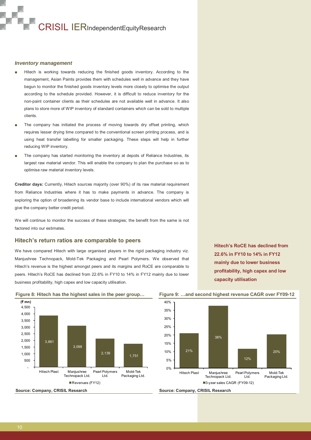

## *Inventory management*

- Hitech is working towards reducing the finished goods inventory. According to the management, Asian Paints provides them with schedules well in advance and they have begun to monitor the finished goods inventory levels more closely to optimise the output according to the schedule provided. However, it is difficult to reduce inventory for the non-paint container clients as their schedules are not available well in advance. It also plans to store more of WIP inventory of standard containers which can be sold to multiple clients.
- The company has initiated the process of moving towards dry offset printing, which requires lesser drying time compared to the conventional screen printing process, and is using heat transfer labelling for smaller packaging. These steps will help in further reducing WIP inventory.
- **■** The company has started monitoring the inventory at depots of Reliance Industries, its largest raw material vendor. This will enable the company to plan the purchase so as to optimise raw material inventory levels.

**Creditor days:** Currently, Hitech sources majority (over 90%) of its raw material requirement from Reliance Industries where it has to make payments in advance. The company is exploring the option of broadening its vendor base to include international vendors which will give the company better credit period.

We will continue to monitor the success of these strategies; the benefit from the same is not factored into our estimates.

## **Hitech's return ratios are comparable to peers**

We have compared Hitech with large organised players in the rigid packaging industry viz. Manjushree Technopack, Mold-Tek Packaging and Pearl Polymers. We observed that Hitech's revenue is the highest amongst peers and its margins and RoCE are comparable to peers. Hitech's RoCE has declined from 22.6% in FY10 to 14% in FY12 mainly due to lower business profitability, high capex and low capacity utilisation.

**Hitech's RoCE has declined from 22.6% in FY10 to 14% in FY12 mainly due to lower business profitability, high capex and low capacity utilisation** 



## **Figure 8: Hitech has the highest sales in the peer group… Figure 9: …and second highest revenue CAGR over FY09-12**



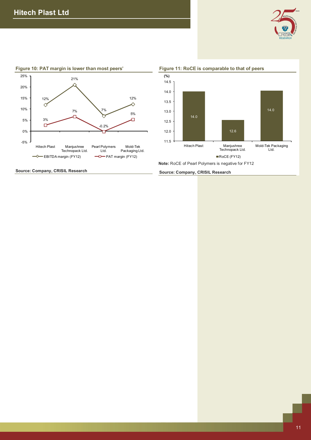



Figure 10: PAT margin is lower than most peers' Figure 11: RoCE is comparable to that of peers



Source: Company, CRISIL Research **Source: Company, CRISIL Research** Source: Company, CRISIL Research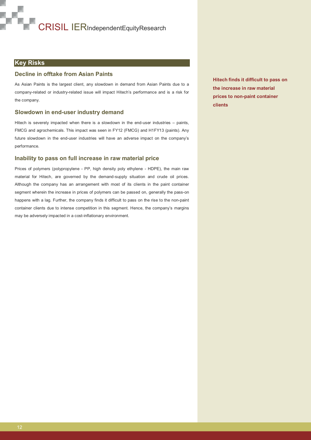## **Key Risks**

## **Decline in offtake from Asian Paints**

As Asian Paints is the largest client, any slowdown in demand from Asian Paints due to a company-related or industry-related issue will impact Hitech's performance and is a risk for the company.

## **Slowdown in end-user industry demand**

Hitech is severely impacted when there is a slowdown in the end-user industries – paints, FMCG and agrochemicals. This impact was seen in FY12 (FMCG) and H1FY13 (paints). Any future slowdown in the end-user industries will have an adverse impact on the company's performance.

## **Inability to pass on full increase in raw material price**

Prices of polymers (polypropylene - PP, high density poly ethylene - HDPE), the main raw material for Hitech, are governed by the demand-supply situation and crude oil prices. Although the company has an arrangement with most of its clients in the paint container segment wherein the increase in prices of polymers can be passed on, generally the pass-on happens with a lag. Further, the company finds it difficult to pass on the rise to the non-paint container clients due to intense competition in this segment. Hence, the company's margins may be adversely impacted in a cost-inflationary environment.

**Hitech finds it difficult to pass on the increase in raw material prices to non-paint container clients**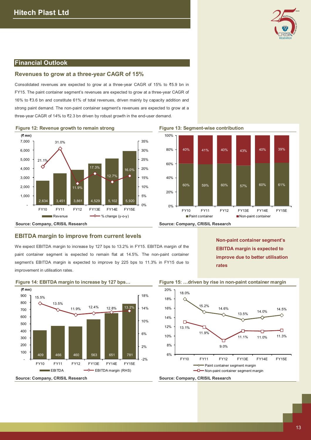

## **Financial Outlook**

## **Revenues to grow at a three-year CAGR of 15%**

Consolidated revenues are expected to grow at a three-year CAGR of 15% to ₹5.9 bn in FY15. The paint container segment's revenues are expected to grow at a three-year CAGR of 16% to ₹3.6 bn and constitute 61% of total revenues, driven mainly by capacity addition and strong paint demand. The non-paint container segment's revenues are expected to grow at a three-year CAGR of 14% to ₹2.3 bn driven by robust growth in the end-user demand.



## **EBITDA margin to improve from current levels**









0%

20%

40%

60%

80%



## 100%

**Non-paint container segment's** 

60% 59% 60% 57% 60% 61%

FY10 FY11 FY12 FY13E FY14E FY15E Paint container Non-paint container

40% 41% 40% 43% 40% 39%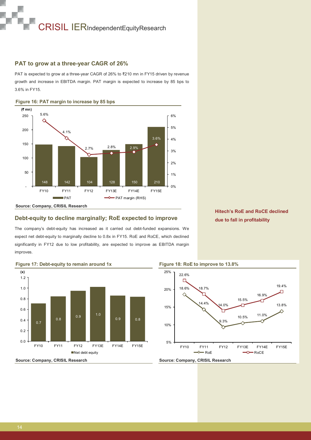# CRISIL IERIndependentEquityResearch

## **PAT to grow at a three-year CAGR of 26%**

PAT is expected to grow at a three-year CAGR of 26% to ₹210 mn in FY15 driven by revenue growth and increase in EBITDA margin. PAT margin is expected to increase by 85 bps to 3.6% in FY15.



## **Figure 16: PAT margin to increase by 85 bps**

## **Debt-equity to decline marginally; RoE expected to improve**

The company's debt-equity has increased as it carried out debt-funded expansions. We expect net debt-equity to marginally decline to 0.8x in FY15. RoE and RoCE, which declined significantly in FY12 due to low profitability, are expected to improve as EBITDA margin improves.





**Hitech's RoE and RoCE declined due to fall in profitability**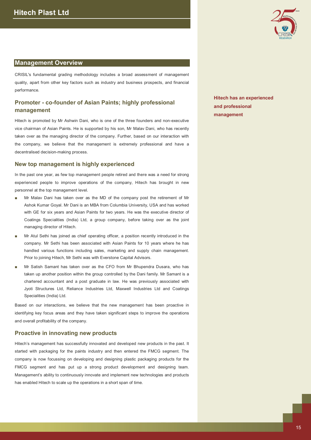

## **Management Overview**

CRISIL's fundamental grading methodology includes a broad assessment of management quality, apart from other key factors such as industry and business prospects, and financial performance.

## **Promoter - co-founder of Asian Paints; highly professional management**

Hitech is promoted by Mr Ashwin Dani, who is one of the three founders and non-executive vice chairman of Asian Paints. He is supported by his son, Mr Malav Dani, who has recently taken over as the managing director of the company. Further, based on our interaction with the company, we believe that the management is extremely professional and have a decentralised decision-making process.

## **New top management is highly experienced**

In the past one year, as few top management people retired and there was a need for strong experienced people to improve operations of the company, Hitech has brought in new personnel at the top management level.

- Mr Malav Dani has taken over as the MD of the company post the retirement of Mr Ashok Kumar Goyal. Mr Dani is an MBA from Columbia University, USA and has worked with GE for six years and Asian Paints for two years. He was the executive director of Coatings Specialities (India) Ltd, a group company, before taking over as the joint managing director of Hitech.
- Mr Atul Sethi has joined as chief operating officer, a position recently introduced in the company. Mr Sethi has been associated with Asian Paints for 10 years where he has handled various functions including sales, marketing and supply chain management. Prior to joining Hitech, Mr Sethi was with Everstone Capital Advisors.
- **■** Mr Satish Samant has taken over as the CFO from Mr Bhupendra Dusara, who has taken up another position within the group controlled by the Dani family. Mr Samant is a chartered accountant and a post graduate in law. He was previously associated with Jyoti Structures Ltd, Reliance Industries Ltd, Maxwell Industries Ltd and Coatings Specialities (India) Ltd.

Based on our interactions, we believe that the new management has been proactive in identifying key focus areas and they have taken significant steps to improve the operations and overall profitability of the company.

## **Proactive in innovating new products**

Hitech's management has successfully innovated and developed new products in the past. It started with packaging for the paints industry and then entered the FMCG segment. The company is now focussing on developing and designing plastic packaging products for the FMCG segment and has put up a strong product development and designing team. Management's ability to continuously innovate and implement new technologies and products has enabled Hitech to scale up the operations in a short span of time.

**Hitech has an experienced and professional management**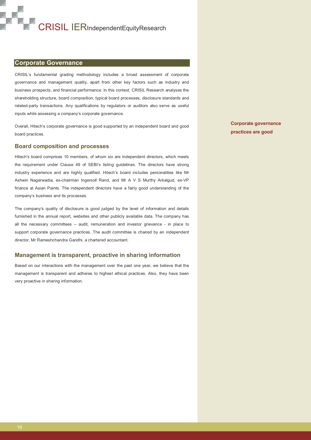

## **Corporate Governance**

CRISIL's fundamental grading methodology includes a broad assessment of corporate governance and management quality, apart from other key factors such as industry and business prospects, and financial performance. In this context, CRISIL Research analyses the shareholding structure, board composition, typical board processes, disclosure standards and related-party transactions. Any qualifications by regulators or auditors also serve as useful inputs while assessing a company's corporate governance.

Overall, Hitech's corporate governance is good supported by an independent board and good board practices.

## **Board composition and processes**

Hitech's board comprises 10 members, of whom six are independent directors, which meets the requirement under Clause 49 of SEBI's listing guidelines. The directors have strong industry experience and are highly qualified. Hitech's board includes personalities like Mr Ashwin Nagarwadia, ex-chairman Ingersoll Rand, and Mr A V S Murthy Arkalgud, ex-VP finance at Asian Paints. The independent directors have a fairly good understanding of the company's business and its processes.

The company's quality of disclosure is good judged by the level of information and details furnished in the annual report, websites and other publicly available data. The company has all the necessary committees – audit, remuneration and investor grievance - in place to support corporate governance practices. The audit committee is chaired by an independent director, Mr Rameshchandra Gandhi, a chartered accountant.

## **Management is transparent, proactive in sharing information**

Based on our interactions with the management over the past one year, we believe that the management is transparent and adheres to highest ethical practices. Also, they have been very proactive in sharing information.

**Corporate governance practices are good**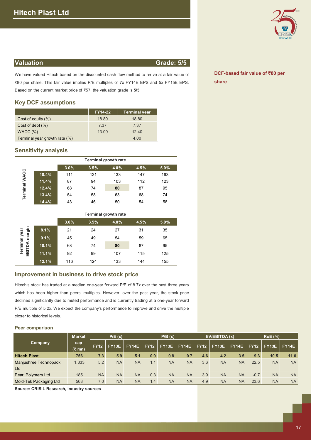

## **Valuation Grade: 5/5**

We have valued Hitech based on the discounted cash flow method to arrive at a fair value of ₹80 per share. This fair value implies P/E multiples of 7x FY14E EPS and 5x FY15E EPS. Based on the current market price of ₹57, the valuation grade is **5/5**.

## **Key DCF assumptions**

|                               | FY14-22 | <b>Terminal year</b> |
|-------------------------------|---------|----------------------|
| Cost of equity (%)            | 18.80   | 18.80                |
| Cost of debt $(\% )$          | 7.37    | 7.37                 |
| WACC(%)                       | 13.09   | 12.40                |
| Terminal year growth rate (%) |         | 4.00                 |

## **Sensitivity analysis**

| <b>Terminal growth rate</b> |       |      |      |      |      |      |
|-----------------------------|-------|------|------|------|------|------|
|                             |       | 3.0% | 3.5% | 4.0% | 4.5% | 5.0% |
|                             | 10.4% | 111  | 121  | 133  | 147  | 163  |
| Terminal WACC               | 11.4% | 87   | 94   | 103  | 112  | 123  |
|                             | 12.4% | 68   | 74   | 80   | 87   | 95   |
|                             | 13.4% | 54   | 58   | 63   | 68   | 74   |
|                             | 14.4% | 43   | 46   | 50   | 54   | 58   |

| <b>Terminal growth rate</b>                         |       |      |      |      |      |      |  |  |  |  |
|-----------------------------------------------------|-------|------|------|------|------|------|--|--|--|--|
|                                                     |       | 3.0% | 3.5% | 4.0% | 4.5% | 5.0% |  |  |  |  |
| margin<br><b>Terminal year</b><br><b>AULIB</b><br>ш | 8.1%  | 21   | 24   | 27   | 31   | 35   |  |  |  |  |
|                                                     | 9.1%  | 45   | 49   | 54   | 59   | 65   |  |  |  |  |
|                                                     | 10.1% | 68   | 74   | 80   | 87   | 95   |  |  |  |  |
|                                                     | 11.1% | 92   | 99   | 107  | 115  | 125  |  |  |  |  |
|                                                     | 12.1% | 116  | 124  | 133  | 144  | 155  |  |  |  |  |

## **Improvement in business to drive stock price**

Hitech's stock has traded at a median one-year forward P/E of 8.7x over the past three years which has been higher than peers' multiples. However, over the past year, the stock price declined significantly due to muted performance and is currently trading at a one-year forward P/E multiple of 5.2x. We expect the company's performance to improve and drive the multiple closer to historical levels.

## **Peer comparison**

|                              | <b>Market</b> |             | P/E(x)    |           |             | P/B(x)       |           |             | EV/EBITDA (x) |                                |             | <b>RoE</b> (%) |              |
|------------------------------|---------------|-------------|-----------|-----------|-------------|--------------|-----------|-------------|---------------|--------------------------------|-------------|----------------|--------------|
| <b>Company</b>               | cap<br>(₹ mn) | <b>FY12</b> | FY13E     | FY14E     | <b>FY12</b> | <b>FY13E</b> | FY14E     | <b>FY12</b> | FY13E         | $\overline{\phantom{1}}$ FY14E | <b>FY12</b> | <b>FY13E</b>   | <b>FY14E</b> |
| <b>Hitech Plast</b>          | 756           | 7.3         | 5.9       | 5.1       | 0.9         | 0.8          | 0.7       | 4.6         | 4.2           | 3.5                            | 9.3         | 10.5           | 11.0         |
| Manjushree Technopack<br>Ltd | 1,333         | 5.2         | <b>NA</b> | <b>NA</b> | 1.1         | <b>NA</b>    | <b>NA</b> | 3.6         | <b>NA</b>     | <b>NA</b>                      | 22.5        | <b>NA</b>      | <b>NA</b>    |
| <b>Pearl Polymers Ltd</b>    | 185           | <b>NA</b>   | <b>NA</b> | <b>NA</b> | 0.3         | <b>NA</b>    | <b>NA</b> | 3.9         | <b>NA</b>     | <b>NA</b>                      | $-0.7$      | <b>NA</b>      | <b>NA</b>    |
| Mold-Tek Packaging Ltd       | 568           | 7.0         | <b>NA</b> | <b>NA</b> | 1.4         | <b>NA</b>    | <b>NA</b> | 4.9         | <b>NA</b>     | <b>NA</b>                      | 23.6        | <b>NA</b>      | <b>NA</b>    |

**Source: CRISIL Research, Industry sources** 

**DCF-based fair value of ₹80 per share**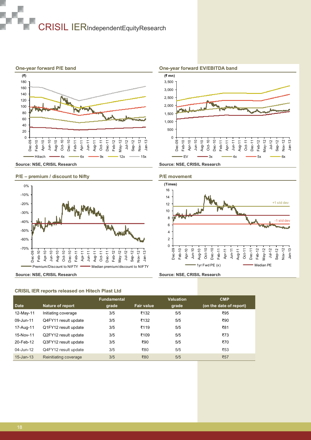# CRISIL IERIndependentEquityResearch



0 500 1,000 1,500 2,000 2,500 3,000 3,500 Dec-09 Feb-10 Apr-10 Jun-10 Aug-10 Oct-10 Dec-10 Feb-11 Apr-11 Jun-11 Aug-11 Oct-11 Dec-11 Feb-12 May-12 Jul-12 Sep-12 Nov-12 Jan-13 **(₹ mn)** EV  $\overline{\phantom{a}}$  3x  $\overline{\phantom{a}}$  4x  $\overline{\phantom{a}}$  5x  $\overline{\phantom{a}}$  6x



## P/E – premium / discount to Nifty **P/E movement**





**Source: NSE, CRISIL Research Source: NSE, CRISIL Research** 

## **CRISIL IER reports released on Hitech Plast Ltd**

| <b>Date</b>   | Nature of report      | <b>Fundamental</b><br>grade | <b>Fair value</b> | <b>Valuation</b><br>grade | <b>CMP</b><br>(on the date of report) |
|---------------|-----------------------|-----------------------------|-------------------|---------------------------|---------------------------------------|
| 12-May-11     | Initiating coverage   | 3/5                         | ₹132              | 5/5                       | ₹95                                   |
| 09-Jun-11     | Q4FY11 result update  | 3/5                         | ₹132              | 5/5                       | ₹90                                   |
| 17-Aug-11     | Q1FY12 result update  | 3/5                         | ₹119              | 5/5                       | ₹81                                   |
| 15-Nov-11     | Q2FY12 result update  | 3/5                         | ₹109              | 5/5                       | ₹73                                   |
| 20-Feb-12     | Q3FY12 result update  | 3/5                         | ₹90               | 5/5                       | ₹70                                   |
| 04-Jun-12     | Q4FY12 result update  | 3/5                         | ₹80               | 5/5                       | ₹53                                   |
| $15 - Jan-13$ | Reinitiating coverage | 3/5                         | ₹80               | 5/5                       | ₹57                                   |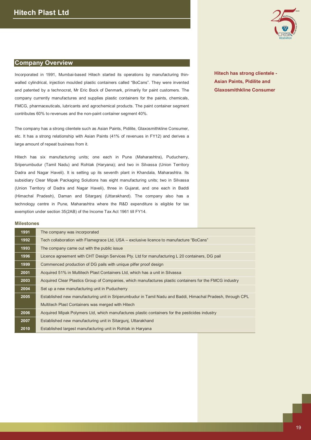

## **Company Overview**

Incorporated in 1991, Mumbai-based Hitech started its operations by manufacturing thinwalled cylindrical, injection moulded plastic containers called "BoCans". They were invented and patented by a technocrat, Mr Eric Bock of Denmark, primarily for paint customers. The company currently manufactures and supplies plastic containers for the paints, chemicals, FMCG, pharmaceuticals, lubricants and agrochemical products. The paint container segment contributes 60% to revenues and the non-paint container segment 40%.

The company has a strong clientele such as Asian Paints, Pidilite, Glaxosmithkline Consumer, etc. It has a strong relationship with Asian Paints (41% of revenues in FY12) and derives a large amount of repeat business from it.

Hitech has six manufacturing units; one each in Pune (Maharashtra), Puducherry, Sriperumbudur (Tamil Nadu) and Rohtak (Haryana); and two in Silvassa (Union Territory Dadra and Nagar Haveli). It is setting up its seventh plant in Khandala, Maharashtra. Its subsidiary Clear Mipak Packaging Solutions has eight manufacturing units; two in Silvassa (Union Territory of Dadra and Nagar Haveli), three in Gujarat, and one each in Baddi (Himachal Pradesh), Daman and Sitarganj (Uttarakhand). The company also has a technology centre in Pune, Maharashtra where the R&D expenditure is eligible for tax exemption under section 35(2AB) of the Income Tax Act 1961 till FY14.

## **Hitech has strong clientele - Asian Paints, Pidilite and Glaxosmithkline Consumer**

#### **Milestones**

| 1991 | The company was incorporated                                                                               |
|------|------------------------------------------------------------------------------------------------------------|
| 1992 | Tech collaboration with Flamegrace Ltd, USA - exclusive licence to manufacture "BoCans"                    |
| 1993 | The company came out with the public issue                                                                 |
| 1996 | Licence agreement with CHT Design Services Pty. Ltd for manufacturing L 20 containers, DG pail             |
| 1999 | Commenced production of DG pails with unique pilfer proof design                                           |
| 2001 | Acquired 51% in Multitech Plast Containers Ltd, which has a unit in Silvassa                               |
| 2003 | Acquired Clear Plastics Group of Companies, which manufactures plastic containers for the FMCG industry    |
| 2004 | Set up a new manufacturing unit in Puducherry                                                              |
| 2005 | Established new manufacturing unit in Sriperumbudur in Tamil Nadu and Baddi, Himachal Pradesh, through CPL |
|      | Multitech Plast Containers was merged with Hitech                                                          |
| 2006 | Acquired Mipak Polymers Ltd, which manufactures plastic containers for the pesticides industry             |
| 2007 | Established new manufacturing unit in Sitargunj, Uttarakhand                                               |
| 2010 | Established largest manufacturing unit in Rohtak in Haryana                                                |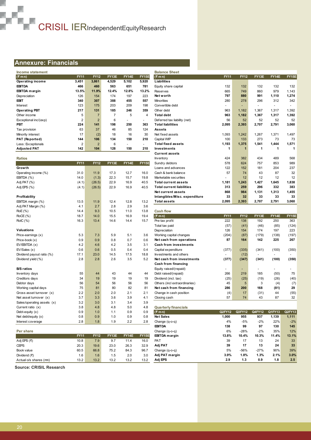## **Annexure: Financials**

| <b>Income statement</b>    |                |                |                |                |                | <b>Balance Sheet</b>             |              |              |        |        |             |
|----------------------------|----------------|----------------|----------------|----------------|----------------|----------------------------------|--------------|--------------|--------|--------|-------------|
| $(5 \text{ m})$            | <b>FY11</b>    | <b>FY12</b>    | FY13E          | <b>FY14E</b>   | FY15E          | $(7 \text{ m})$                  | FY11         | <b>FY12</b>  | FY13E  | FY14E  | <b>FY15</b> |
| Operating income           | 3,451          | 3,861          | 4,529          | 5,102          | 5,920          | Liabilities                      |              |              |        |        |             |
| <b>EBITDA</b>              | 466            | 460            | 563            | 651            | 781            | Equity share capital             | 132          | 132          | 132    | 132    | 132         |
| EBITDA margin              | 13.5%          | 11.9%          | 12.4%          | 12.8%          | 13.2%          | Reserves                         | 665          | 749          | 860    | 979    | 1,143       |
| Depreciation               | 126            | 154            | 174            | 197            | 223            | Net worth                        | 797          | 880          | 991    | 1,110  | 1,274       |
| EBIT                       | 340            | 307            | 388            | 455            | 557            | <b>Minorities</b>                | 280          | 278          | 296    | 312    | 342         |
| <b>Interest</b>            | 123            | 175            | 203            | 209            | 198            | Convertible debt                 |              |              |        |        |             |
| <b>Operating PBT</b>       | 217            | 131            | 185            | 246            | 359            | Other debt                       | 963          | 1,182        | 1,367  | 1,317  | 1,392       |
| Other income               | 5              | $\overline{7}$ | $\overline{7}$ | 5              | $\overline{4}$ | <b>Total debt</b>                | 963          | 1,182        | 1,367  | 1,317  | 1,392       |
| Exceptional inc/(exp)      | $\overline{2}$ | $\overline{2}$ | 6              |                |                | Deferred tax liability (net)     | 56           | 52           | 52     | 52     | 52          |
| PBT                        | 224            | 141            | 198            | 250            | 363            | <b>Total liabilities</b>         | 2,095        | 2,393        | 2,707  | 2,791  | 3,060       |
| Tax provision              | 63             | 37             | 46             | 85             | 124            | <b>Assets</b>                    |              |              |        |        |             |
| Minority interest          | 17             | (2)            | 18             | 16             | 30             | Net fixed assets                 | 1,093        | 1,242        | 1,267  | 1,371  | 1,497       |
| PAT (Reported)             | 144            | 106            | 134            | 150            | 210            | Capital WIP                      | 100          | 133          | 273    | 73     | 73          |
| Less: Exceptionals         | $\overline{2}$ | $\overline{2}$ | 6              | $\overline{a}$ | $\sim$         | <b>Total fixed assets</b>        | 1,193        | 1,375        | 1,541  | 1,444  | 1,571       |
| <b>Adjusted PAT</b>        | 142            | 104            | 128            | 150            | 210            | Investments                      | $\mathbf{1}$ | $\mathbf{1}$ | 1      | 1      | 1           |
|                            |                |                |                |                |                | <b>Current assets</b>            |              |              |        |        |             |
| <b>Ratios</b>              |                |                |                |                |                | Inventory                        | 424          | 382          | 434    | 489    | 568         |
|                            | <b>FY11</b>    | <b>FY12</b>    | FY13E          | <b>FY14E</b>   | FY15E          | Sundry debtors                   | 578          | 624          | 757    | 853    | 989         |
| Growth                     |                |                |                |                |                | Loans and advances               | 122          | 152          | 181    | 204    | 237         |
| Operating income (%)       | 31.0           | 11.9           | 17.3           | 12.7           | 16.0           | Cash & bank balance              | 57           | 74           | 43     | 87     | 32          |
| EBITDA (%)                 | 14.0           | (1.3)          | 22.3           | 15.7           | 19.8           | Marketable securities            |              | 12           | 12     | 12     | 12          |
| Adj PAT (%)                | (4.1)          | (26.5)         | 22.9           | 16.9           | 40.5           | <b>Total current assets</b>      | 1,181        | 1,243        | 1,427  | 1,645  | 1,838       |
| Adj EPS (%)                | (4.1)          | (26.5)         | 22.9           | 16.9           | 40.5           | <b>Total current liabilities</b> | 313          | 259          | 296    | 332    | 383         |
|                            |                |                |                |                |                | Net current assets               | 868          | 984          | 1,131  | 1,313  | 1,455       |
| Profitability              |                |                |                |                |                | Intangibles/Misc. expenditure    | 33           | 32           | 33     | 33     | 33          |
| EBITDA margin (%)          | 13.5           | 11.9           | 12.4           | 12.8           | 13.2           | <b>Total assets</b>              | 2,095        | 2,393        | 2,707  | 2,791  | 3,060       |
| Adj PAT Margin (%)         | 4.1            | 2.7            | 2.8            | 2.9            | 3.6            |                                  |              |              |        |        |             |
| RoE (%)                    | 14.4           | 9.3            | 10.5           | 11.0           | 13.8           | <b>Cash flow</b>                 |              |              |        |        |             |
| ROCE(%)                    | 18.7           | 14.0           | 15.5           | 16.9           | 19.4           | $(3 \overline{5} \text{ m})$     | <b>FY11</b>  | <b>FY12</b>  | FY13E  | FY14E  | <b>FY15</b> |
| RolC(%)                    | 16.3           | 13.4           | 14.6           | 14.4           | 15.7           | Pre-tax profit                   | 222          | 138          | 192    | 250    | 363         |
|                            |                |                |                |                |                | Total tax paid                   | (57)         | (41)         | (46)   | (85)   | (124)       |
| Valuations                 |                |                |                |                |                | Depreciation                     | 126          | 154          | 174    | 197    | 223         |
| Price-earnings (x)         | 5.3            | 7.3            | 5.9            | 5.1            | 3.6            | Working capital changes          | (204)        | (87)         | (179)  | (138)  | (197)       |
| Price-book (x)             | 0.9            | 0.9            | 0.8            | 0.7            | 0.6            | Net cash from operations         | 87           | 164          | 142    | 225    | 267         |
| EV/EBITDA(x)               | 4.2            | 4.6            | 4.2            | 3.5            | 3.1            | Cash from investments            |              |              |        |        |             |
| EV/Sales(x)                | 0.6            | 0.6            | 0.5            | 0.4            | 0.4            | Capital expenditure              | (377)        | (335)        | (341)  | (100)  | (350)       |
| Dividend payout ratio (%)  | 17.1           | 23.0           | 14.5           | 17.5           | 18.8           | Investments and others           |              | (12)         |        |        |             |
| Dividend yield (%)         | 2.8            | 2.8            | 2.6            | 3.5            | 5.2            | Net cash from investments        | (377)        | (347)        | (341)  | (100)  | (350)       |
|                            |                |                |                |                |                | Cash from financing              |              |              |        |        |             |
| <b>B/S</b> ratios          |                |                |                |                |                | Equity raised/(repaid)           |              |              |        |        |             |
| Inventory days             | 55             | 44             | 43             | 44             | 44             | Debt raised/(repaid)             | 266          | 219          | 185    | (50)   | 75          |
| Creditors days             | 34             | 19             | 19             | 19             | 19             | Dividend (incl. tax)             | (25)         | (25)         | (19)   | (26)   | (40)        |
| Debtor days                | 56             | 54             | 56             | 56             | 56             | Others (incl extraordinaries)    | 45           | 5            | 3      | (4)    | (7)         |
| Working capital days       | 75             | 81             | 80             | 82             | 81             | Net cash from financing          | 286          | 200          | 168    | (81)   | 29          |
| Gross asset turnover (x)   | 2.2            | 2.0            | 2.0            | 2.1            | 2.1            | Change in cash position          | (4)          | 17           | (31)   | 44     | (55         |
| Net asset turnover (x)     | 3.7            | 3.3            | 3.6            | 3.9            | 4.1            | Closing cash                     | 57           | 74           | 43     | 87     | 32          |
| Sales/operating assets (x) | 3.2            | 3.0            | 3.1            | 3.4            | 3.9            |                                  |              |              |        |        |             |
| Current ratio (x)          | 3.8            | 4.8            | 4.8            | 5.0            | 4.8            | <b>Quarterly financials</b>      |              |              |        |        |             |
| Debt-equity $(x)$          | 0.9            | 1.0            | 1.1            | 0.9            | 0.9            | $($ ₹mn)                         | Q2FY12       | Q3FY12       | Q4FY12 | Q1FY13 | Q2FY1       |
| Net debt/equity (x)        | 0.8            | 0.9            | 1.0            | 0.9            | 0.8            | <b>Net Sales</b>                 | 1,000        | 955          | 937    | 1,139  | 1,111       |
| Interest coverage          | 2.8            | 1.8            | 1.9            | 2.2            | 2.8            | Change (q-o-q)                   | 4%           | $-5%$        | $-2%$  | 22%    | $-20$       |
|                            |                |                |                |                |                | <b>EBITDA</b>                    | 138          | 99           | 97     | 130    | 145         |
| Per share                  |                |                |                |                |                | Change (g-o-g)                   | 6%           | $-28%$       | $-2%$  | 35%    | 12%         |
|                            | <b>FY11</b>    | <b>FY12</b>    | FY13E          | FY14E          | FY15E          | <b>EBITDA</b> margin             | 13.8%        | 10.4%        | 10.3%  | 11.4%  | 13.1%       |
|                            |                |                |                |                |                |                                  |              |              |        |        |             |

|                        | <b>FY11</b> | <b>FY12</b> | <b>FY13E</b> | <b>FY14E</b> | <b>FY15E</b> |
|------------------------|-------------|-------------|--------------|--------------|--------------|
| Adj EPS (₹)            | 10.8        | 7.9         | 9.7          | 11.4         | 16.0         |
| <b>CEPS</b>            | 20.3        | 19.6        | 23.0         | 26.3         | 32.9         |
| Book value             | 60.5        | 66.8        | 75.2         | 84.3         | 96.7         |
| Dividend (₹)           | 1.6         | 1.6         | 1.5          | 2.0          | 3.0          |
| Actual o/s shares (mn) | 13.2        | 13.2        | 13.2         | 13.2         | 13.2         |

**Source: CRISIL Research** 

| Income statement          |                |                |                |              |                          | <b>Balance Sheet</b>             |             |              |                |                          |       |
|---------------------------|----------------|----------------|----------------|--------------|--------------------------|----------------------------------|-------------|--------------|----------------|--------------------------|-------|
| (₹mn)                     | <b>FY11</b>    | <b>FY12</b>    | FY13E          | <b>FY14E</b> | <b>FY15E</b>             | $(7 \text{ m})$                  | <b>FY11</b> | <b>FY12</b>  | FY13E          | FY14E                    | FY15E |
| Operating income          | 3,451          | 3,861          | 4,529          | 5,102        | 5,920                    | Liabilities                      |             |              |                |                          |       |
| <b>EBITDA</b>             | 466            | 460            | 563            | 651          | 781                      | Equity share capital             | 132         | 132          | 132            | 132                      | 132   |
| <b>EBITDA</b> margin      | 13.5%          | 11.9%          | 12.4%          | 12.8%        | 13.2%                    | <b>Reserves</b>                  | 665         | 749          | 860            | 979                      | 1,143 |
| Depreciation              | 126            | 154            | 174            | 197          | 223                      | Net worth                        | 797         | 880          | 991            | 1,110                    | 1,274 |
| EBIT                      | 340            | 307            | 388            | 455          | 557                      | <b>Minorities</b>                | 280         | 278          | 296            | 312                      | 342   |
| Interest                  | 123            | 175            | 203            | 209          | 198                      | Convertible debt                 |             | ÷            | $\overline{a}$ | $\overline{\phantom{a}}$ | ÷     |
| <b>Operating PBT</b>      | 217            | 131            | 185            | 246          | 359                      | Other debt                       | 963         | 1,182        | 1,367          | 1,317                    | 1,392 |
| Other income              | 5              | $\overline{7}$ | $\overline{7}$ | 5            | 4                        | <b>Total debt</b>                | 963         | 1,182        | 1,367          | 1,317                    | 1,392 |
| Exceptional inc/(exp)     | $\overline{2}$ | $\overline{2}$ | 6              | $\sim$       | $\overline{\phantom{a}}$ | Deferred tax liability (net)     | 56          | 52           | 52             | 52                       | 52    |
| PBT                       | 224            | 141            | 198            | 250          | 363                      | <b>Total liabilities</b>         | 2,095       | 2,393        | 2,707          | 2,791                    | 3,060 |
| Tax provision             | 63             | 37             | 46             | 85           | 124                      | <b>Assets</b>                    |             |              |                |                          |       |
| Minority interest         | 17             | (2)            | 18             | 16           | 30                       | Net fixed assets                 | 1,093       | 1,242        | 1,267          | 1,371                    | 1,497 |
| PAT (Reported)            | 144            | 106            | 134            | 150          | 210                      | Capital WIP                      | 100         | 133          | 273            | 73                       | 73    |
| Less: Exceptionals        | 2              | $\overline{2}$ | 6              |              | $\sim$                   | <b>Total fixed assets</b>        | 1,193       | 1,375        | 1,541          | 1,444                    | 1,571 |
| Adjusted PAT              | 142            | 104            | 128            | 150          | 210                      | Investments                      | 1           | $\mathbf{1}$ | 1              | 1                        | 1     |
|                           |                |                |                |              |                          | <b>Current assets</b>            |             |              |                |                          |       |
| <b>Ratios</b>             |                |                |                |              |                          | <b>Inventory</b>                 | 424         | 382          | 434            | 489                      | 568   |
|                           | <b>FY11</b>    | <b>FY12</b>    | FY13E          | <b>FY14E</b> | <b>FY15E</b>             | Sundry debtors                   | 578         | 624          | 757            | 853                      | 989   |
| Growth                    |                |                |                |              |                          | Loans and advances               | 122         | 152          | 181            | 204                      | 237   |
| Operating income (%)      | 31.0           | 11.9           | 17.3           | 12.7         | 16.0                     | Cash & bank balance              | 57          | 74           | 43             | 87                       | 32    |
| EBITDA (%)                | 14.0           | (1.3)          | 22.3           | 15.7         | 19.8                     | Marketable securities            |             | 12           | 12             | 12                       | 12    |
| Adj PAT (%)               | (4.1)          | (26.5)         | 22.9           | 16.9         | 40.5                     | <b>Total current assets</b>      | 1,181       | 1,243        | 1,427          | 1,645                    | 1,838 |
| Adj EPS (%)               | (4.1)          | (26.5)         | 22.9           | 16.9         | 40.5                     | <b>Total current liabilities</b> | 313         | 259          | 296            | 332                      | 383   |
|                           |                |                |                |              |                          | Net current assets               | 868         | 984          | 1,131          | 1,313                    | 1,455 |
| Profitability             |                |                |                |              |                          | Intangibles/Misc. expenditure    | 33          | 32           | 33             | 33                       | 33    |
| EBITDA margin (%)         | 13.5           | 11.9           | 12.4           | 12.8         | 13.2                     | <b>Total assets</b>              | 2,095       | 2,393        | 2,707          | 2,791                    | 3,060 |
| Adj PAT Margin (%)        | 4.1            | 2.7            | 2.8            | 2.9          | 3.6                      |                                  |             |              |                |                          |       |
| RoE (%)                   | 14.4           | 9.3            | 10.5           | 11.0         | 13.8                     | <b>Cash flow</b>                 |             |              |                |                          |       |
| RoCE (%)                  | 18.7           | 14.0           | 15.5           | 16.9         | 19.4                     | $(7 \text{ m})$                  | <b>FY11</b> | <b>FY12</b>  | FY13E          | FY14E                    | FY15E |
| RoIC (%)                  | 16.3           | 13.4           | 14.6           | 14.4         | 15.7                     | Pre-tax profit                   | 222         | 138          | 192            | 250                      | 363   |
|                           |                |                |                |              |                          | Total tax paid                   | (57)        | (41)         | (46)           | (85)                     | (124) |
| Valuations                |                |                |                |              |                          | Depreciation                     | 126         | 154          | 174            | 197                      | 223   |
| Price-earnings (x)        | 5.3            | 7.3            | 5.9            | 5.1          | 3.6                      | Working capital changes          | (204)       | (87)         | (179)          | (138)                    | (197) |
| Price-book (x)            | 0.9            | 0.9            | 0.8            | 0.7          | 0.6                      | Net cash from operations         | 87          | 164          | 142            | 225                      | 267   |
| EV/EBITDA (x)             | 4.2            | 4.6            | 4.2            | 3.5          | 3.1                      | <b>Cash from investments</b>     |             |              |                |                          |       |
| EV/Sales (x)              | 0.6            | 0.6            | 0.5            | 0.4          | 0.4                      | Capital expenditure              | (377)       | (335)        | (341)          | (100)                    | (350) |
| Dividend payout ratio (%) | 17.1           | 23.0           | 14.5           | 17.5         | 18.8                     | Investments and others           |             | (12)         |                |                          |       |
| Dividend yield (%)        | 2.8            | 2.8            | 2.6            | 3.5          | 5.2                      | Net cash from investments        | (377)       | (347)        | (341)          | (100)                    | (350) |
|                           |                |                |                |              |                          | Cash from financing              |             |              |                |                          |       |
| B/S ratios                |                |                |                |              |                          | Equity raised/(repaid)           |             |              |                |                          |       |
| <b>Inventory days</b>     | 55             | 44             | 43             | 44           | 44                       | Debt raised/(repaid)             | 266         | 219          | 185            | (50)                     | 75    |
|                           |                |                |                |              |                          |                                  |             |              |                |                          |       |

|                            |             |             |       |              |              | --------------              |        |        |        |        |        |
|----------------------------|-------------|-------------|-------|--------------|--------------|-----------------------------|--------|--------|--------|--------|--------|
| Sales/operating assets (x) | 3.2         | 3.0         | 3.1   | 3.4          | 3.9          |                             |        |        |        |        |        |
| Current ratio (x)          | 3.8         | 4.8         | 4.8   | 5.0          | 4.8          | <b>Quarterly financials</b> |        |        |        |        |        |
| Debt-equity (x)            | 0.9         | 1.0         | 1.1   | 0.9          | 0.9          | $(\bar{\tau}$ m n)          | Q2FY12 | Q3FY12 | Q4FY12 | Q1FY13 | Q2FY13 |
| Net debt/equity (x)        | 0.8         | 0.9         | 1.0   | 0.9          | 0.8          | <b>Net Sales</b>            | 1,000  | 955    | 937    | 1,139  | 1,111  |
| Interest coverage          | 2.8         | 1.8         | 1.9   | 2.2          | 2.8          | Change $(q-o-q)$            | 4%     | $-5%$  | $-2%$  | 22%    | $-2%$  |
|                            |             |             |       |              |              | <b>EBITDA</b>               | 138    | 99     | 97     | 130    | 145    |
| Per share                  |             |             |       |              |              | Change $(q-o-q)$            | 6%     | $-28%$ | $-2%$  | 35%    | 12%    |
|                            | <b>FY11</b> | <b>FY12</b> | FY13E | <b>FY14E</b> | <b>FY15E</b> | <b>EBITDA</b> margin        | 13.8%  | 10.4%  | 10.3%  | 11.4%  | 13.1%  |
| Adj EPS(₹)                 | 10.8        | 7.9         | 9.7   | 11.4         | 16.0         | PAT                         | 39     | 17     | 13     | 24     | 33     |
| <b>CEPS</b>                | 20.3        | 19.6        | 23.0  | 26.3         | 32.9         | Adi PAT                     | 39     | 17     | 13     | 24     | 33     |
| Book value                 | 60.5        | 66.8        | 75.2  | 84.3         | 96.7         | Change $(q-o-q)$            | 5%     | $-56%$ | $-27%$ | 90%    | 39%    |
| Dividend (₹)               | 1.6         | 1.6         | 1.5   | 2.0          | 3.0          | Adj PAT margin              | 3.9%   | 1.8%   | 1.3%   | 2.1%   | 3.0%   |
| Actual o/s shares (mn)     | 13.2        | 13.2        | 13.2  | 13.2         | 13.2         | Adj EPS                     | 2.9    | 1.3    | 0.9    | 1.8    | 2.5    |
|                            |             |             |       |              |              |                             |        |        |        |        |        |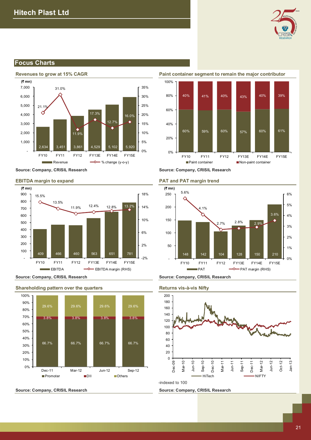

## **Focus Charts**



**Source: Company, CRISIL Research Source: Company, CRISIL Research** 

## **EBITDA margin to expand the example of the expanding PAT and PAT margin trend**



## Shareholding pattern over the quarters **Returns vis-à-vis Nifty**



**Source: Company, CRISIL Research Source: Company, CRISIL Research** 

Revenues to grow at 15% CAGR **Paint container segment to remain the major contributor Revenues** to grow at 15% CAGR





**Source: Company, CRISIL Research Source: Company, CRISIL Research** 





-indexed to 100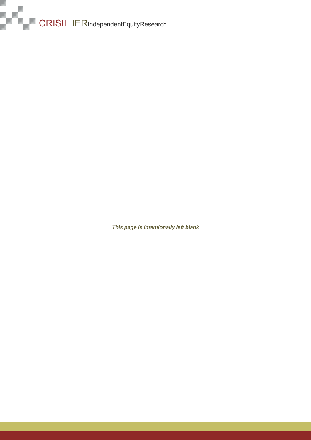

*This page is intentionally left blank*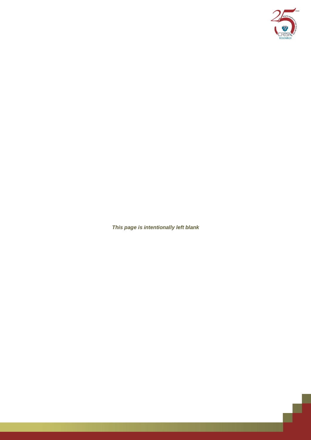

*This page is intentionally left blank*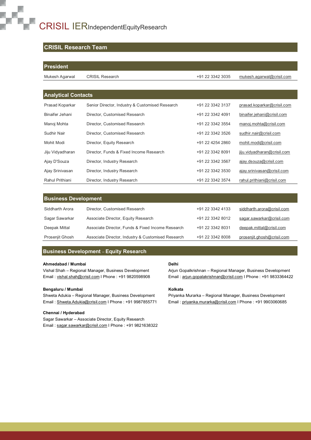## **CRISIL Research Team**

| <b>President</b>           |                                                 |                  |                            |
|----------------------------|-------------------------------------------------|------------------|----------------------------|
| Mukesh Agarwal             | <b>CRISIL Research</b>                          | +91 22 3342 3035 | mukesh.agarwal@crisil.com  |
|                            |                                                 |                  |                            |
| <b>Analytical Contacts</b> |                                                 |                  |                            |
| Prasad Koparkar            | Senior Director, Industry & Customised Research | +91 22 3342 3137 | prasad.koparkar@crisil.com |
|                            |                                                 |                  |                            |

| Binaifer Jehani  | Director, Customised Research           | +91 22 3342 4091 | binaifer.jehani@crisil.com  |
|------------------|-----------------------------------------|------------------|-----------------------------|
| Manoj Mohta      | Director, Customised Research           | +91 22 3342 3554 | manoj.mohta@crisil.com      |
| Sudhir Nair      | Director, Customised Research           | +91 22 3342 3526 | sudhir.nair@crisil.com      |
| Mohit Modi       | Director, Equity Research               | +91 22 4254 2860 | mohit.modi@crisil.com       |
| Jiju Vidyadharan | Director, Funds & Fixed Income Research | +91 22 3342 8091 | jiju.vidyadharan@crisil.com |
| Ajay D'Souza     | Director, Industry Research             | +91 22 3342 3567 | ajay.dsouza@crisil.com      |
| Ajay Srinivasan  | Director, Industry Research             | +91 22 3342 3530 | ajay.srinivasan@crisil.com  |
| Rahul Prithiani  | Director, Industry Research             | +91 22 3342 3574 | rahul.prithiani@crisil.com  |

|                 | <b>Business Development</b>                        |                  |                            |  |  |  |  |  |  |  |  |  |
|-----------------|----------------------------------------------------|------------------|----------------------------|--|--|--|--|--|--|--|--|--|
| Siddharth Arora | Director, Customised Research                      | +91 22 3342 4133 | siddharth.arora@crisil.com |  |  |  |  |  |  |  |  |  |
| Sagar Sawarkar  | Associate Director, Equity Research                | +91 22 3342 8012 | sagar.sawarkar@crisil.com  |  |  |  |  |  |  |  |  |  |
| Deepak Mittal   | Associate Director, Funds & Fixed Income Research  | +91 22 3342 8031 | deepak.mittal@crisil.com   |  |  |  |  |  |  |  |  |  |
| Prosenjit Ghosh | Associate Director, Industry & Customised Research | +91 22 3342 8008 | prosenjit.ghosh@crisil.com |  |  |  |  |  |  |  |  |  |

## **Business Development** – **Equity Research**

## **Ahmedabad / Mumbai**

Vishal Shah – Regional Manager, Business Development Email : vishal.shah@crisil.com I Phone : +91 9820598908

## **Bengaluru / Mumbai**

Shweta Adukia – Regional Manager, Business Development Email : Shweta.Adukia@crisil.com I Phone : +91 9987855771

## **Chennai / Hyderabad**

Sagar Sawarkar – Associate Director, Equity Research Email : sagar.sawarkar@crisil.com I Phone : +91 9821638322

## **Delhi**

Arjun Gopalkrishnan – Regional Manager, Business Development Email : arjun.gopalakrishnan@crisil.com I Phone : +91 9833364422

## **Kolkata**

Priyanka Murarka – Regional Manager, Business Development Email : priyanka.murarka@crisil.com I Phone : +91 9903060685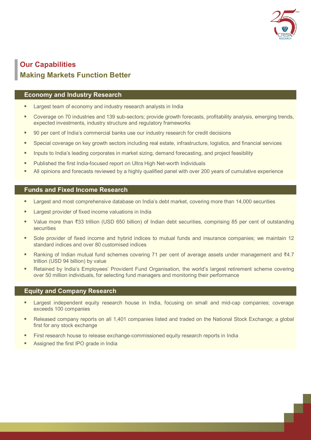

## **Our Capabilities Making Markets Function Better**

## **Economy and Industry Research**

- **Largest team of economy and industry research analysts in India**
- Coverage on 70 industries and 139 sub-sectors; provide growth forecasts, profitability analysis, emerging trends, expected investments, industry structure and regulatory frameworks
- 90 per cent of India's commercial banks use our industry research for credit decisions
- **■** Special coverage on key growth sectors including real estate, infrastructure, logistics, and financial services
- **Inputs to India's leading corporates in market sizing, demand forecasting, and project feasibility**
- Published the first India-focused report on Ultra High Net-worth Individuals
- All opinions and forecasts reviewed by a highly qualified panel with over 200 years of cumulative experience

## **Funds and Fixed Income Research**

- Largest and most comprehensive database on India's debt market, covering more than 14,000 securities
- **Largest provider of fixed income valuations in India**
- **▪** Value more than ₹33 trillion (USD 650 billion) of Indian debt securities, comprising 85 per cent of outstanding securities
- **▪** Sole provider of fixed income and hybrid indices to mutual funds and insurance companies; we maintain 12 standard indices and over 80 customised indices
- **▪** Ranking of Indian mutual fund schemes covering 71 per cent of average assets under management and ₹4.7 trillion (USD 94 billion) by value
- Retained by India's Employees' Provident Fund Organisation, the world's largest retirement scheme covering over 50 million individuals, for selecting fund managers and monitoring their performance

## **Equity and Company Research**

- **Largest independent equity research house in India, focusing on small and mid-cap companies; coverage** exceeds 100 companies
- **▪** Released company reports on all 1,401 companies listed and traded on the National Stock Exchange; a global first for any stock exchange
- **▪** First research house to release exchange-commissioned equity research reports in India
- Assigned the first IPO grade in India